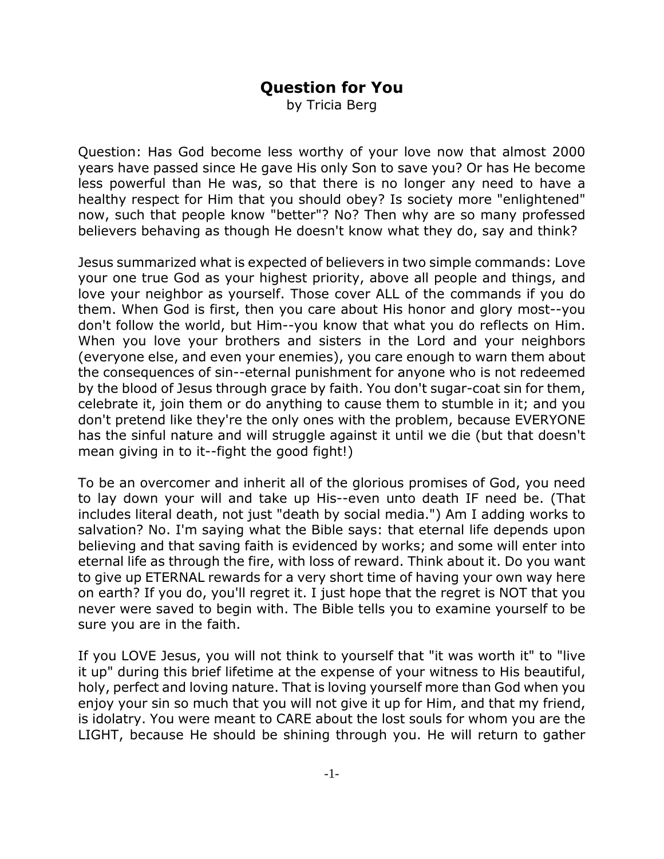## **Question for You**

by Tricia Berg

Question: Has God become less worthy of your love now that almost 2000 years have passed since He gave His only Son to save you? Or has He become less powerful than He was, so that there is no longer any need to have a healthy respect for Him that you should obey? Is society more "enlightened" now, such that people know "better"? No? Then why are so many professed believers behaving as though He doesn't know what they do, say and think?

Jesus summarized what is expected of believers in two simple commands: Love your one true God as your highest priority, above all people and things, and love your neighbor as yourself. Those cover ALL of the commands if you do them. When God is first, then you care about His honor and glory most--you don't follow the world, but Him--you know that what you do reflects on Him. When you love your brothers and sisters in the Lord and your neighbors (everyone else, and even your enemies), you care enough to warn them about the consequences of sin--eternal punishment for anyone who is not redeemed by the blood of Jesus through grace by faith. You don't sugar-coat sin for them, celebrate it, join them or do anything to cause them to stumble in it; and you don't pretend like they're the only ones with the problem, because EVERYONE has the sinful nature and will struggle against it until we die (but that doesn't mean giving in to it--fight the good fight!)

To be an overcomer and inherit all of the glorious promises of God, you need to lay down your will and take up His--even unto death IF need be. (That includes literal death, not just "death by social media.") Am I adding works to salvation? No. I'm saying what the Bible says: that eternal life depends upon believing and that saving faith is evidenced by works; and some will enter into eternal life as through the fire, with loss of reward. Think about it. Do you want to give up ETERNAL rewards for a very short time of having your own way here on earth? If you do, you'll regret it. I just hope that the regret is NOT that you never were saved to begin with. The Bible tells you to examine yourself to be sure you are in the faith.

If you LOVE Jesus, you will not think to yourself that "it was worth it" to "live it up" during this brief lifetime at the expense of your witness to His beautiful, holy, perfect and loving nature. That is loving yourself more than God when you enjoy your sin so much that you will not give it up for Him, and that my friend, is idolatry. You were meant to CARE about the lost souls for whom you are the LIGHT, because He should be shining through you. He will return to gather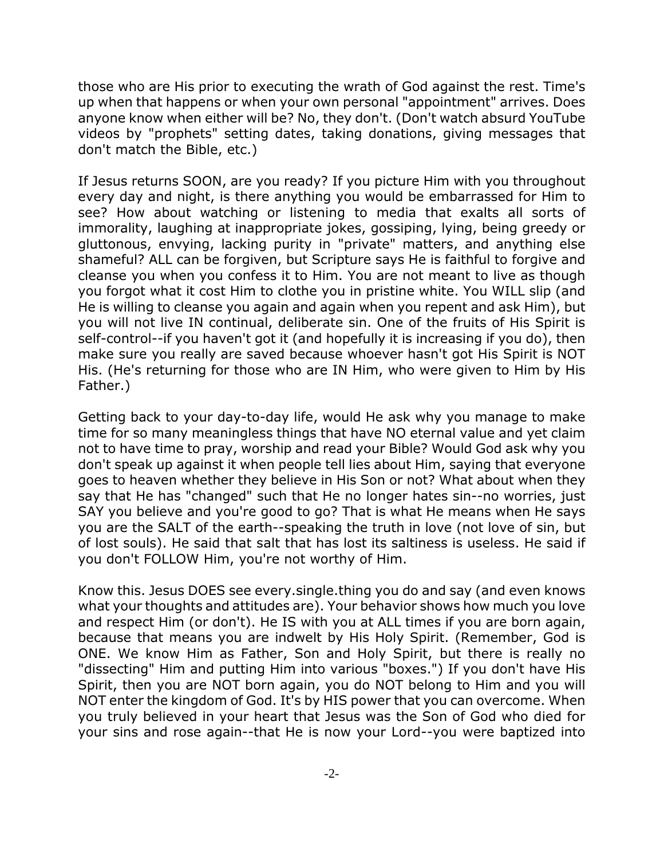those who are His prior to executing the wrath of God against the rest. Time's up when that happens or when your own personal "appointment" arrives. Does anyone know when either will be? No, they don't. (Don't watch absurd YouTube videos by "prophets" setting dates, taking donations, giving messages that don't match the Bible, etc.)

If Jesus returns SOON, are you ready? If you picture Him with you throughout every day and night, is there anything you would be embarrassed for Him to see? How about watching or listening to media that exalts all sorts of immorality, laughing at inappropriate jokes, gossiping, lying, being greedy or gluttonous, envying, lacking purity in "private" matters, and anything else shameful? ALL can be forgiven, but Scripture says He is faithful to forgive and cleanse you when you confess it to Him. You are not meant to live as though you forgot what it cost Him to clothe you in pristine white. You WILL slip (and He is willing to cleanse you again and again when you repent and ask Him), but you will not live IN continual, deliberate sin. One of the fruits of His Spirit is self-control--if you haven't got it (and hopefully it is increasing if you do), then make sure you really are saved because whoever hasn't got His Spirit is NOT His. (He's returning for those who are IN Him, who were given to Him by His Father.)

Getting back to your day-to-day life, would He ask why you manage to make time for so many meaningless things that have NO eternal value and yet claim not to have time to pray, worship and read your Bible? Would God ask why you don't speak up against it when people tell lies about Him, saying that everyone goes to heaven whether they believe in His Son or not? What about when they say that He has "changed" such that He no longer hates sin--no worries, just SAY you believe and you're good to go? That is what He means when He says you are the SALT of the earth--speaking the truth in love (not love of sin, but of lost souls). He said that salt that has lost its saltiness is useless. He said if you don't FOLLOW Him, you're not worthy of Him.

Know this. Jesus DOES see every.single.thing you do and say (and even knows what your thoughts and attitudes are). Your behavior shows how much you love and respect Him (or don't). He IS with you at ALL times if you are born again, because that means you are indwelt by His Holy Spirit. (Remember, God is ONE. We know Him as Father, Son and Holy Spirit, but there is really no "dissecting" Him and putting Him into various "boxes.") If you don't have His Spirit, then you are NOT born again, you do NOT belong to Him and you will NOT enter the kingdom of God. It's by HIS power that you can overcome. When you truly believed in your heart that Jesus was the Son of God who died for your sins and rose again--that He is now your Lord--you were baptized into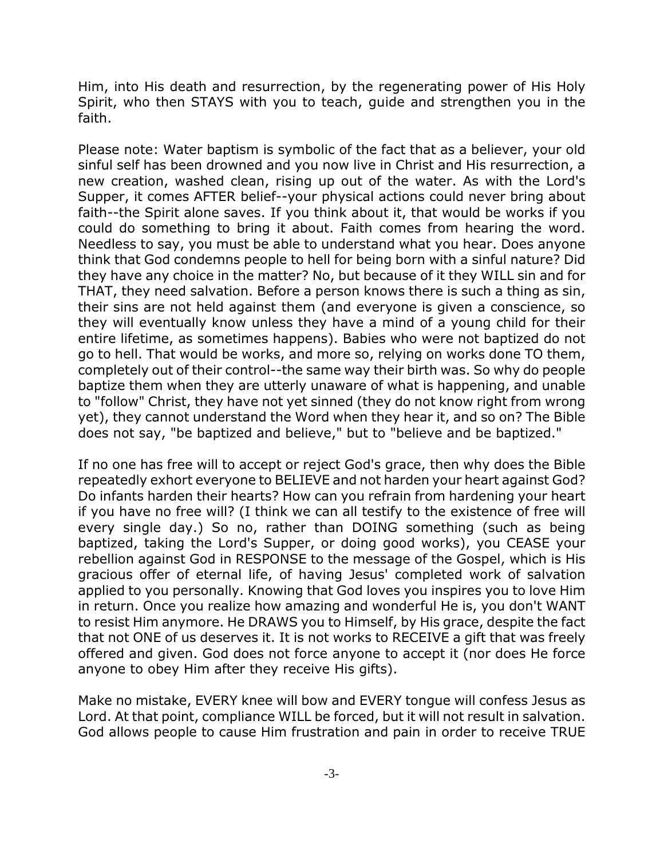Him, into His death and resurrection, by the regenerating power of His Holy Spirit, who then STAYS with you to teach, guide and strengthen you in the faith.

Please note: Water baptism is symbolic of the fact that as a believer, your old sinful self has been drowned and you now live in Christ and His resurrection, a new creation, washed clean, rising up out of the water. As with the Lord's Supper, it comes AFTER belief--your physical actions could never bring about faith--the Spirit alone saves. If you think about it, that would be works if you could do something to bring it about. Faith comes from hearing the word. Needless to say, you must be able to understand what you hear. Does anyone think that God condemns people to hell for being born with a sinful nature? Did they have any choice in the matter? No, but because of it they WILL sin and for THAT, they need salvation. Before a person knows there is such a thing as sin, their sins are not held against them (and everyone is given a conscience, so they will eventually know unless they have a mind of a young child for their entire lifetime, as sometimes happens). Babies who were not baptized do not go to hell. That would be works, and more so, relying on works done TO them, completely out of their control--the same way their birth was. So why do people baptize them when they are utterly unaware of what is happening, and unable to "follow" Christ, they have not yet sinned (they do not know right from wrong yet), they cannot understand the Word when they hear it, and so on? The Bible does not say, "be baptized and believe," but to "believe and be baptized."

If no one has free will to accept or reject God's grace, then why does the Bible repeatedly exhort everyone to BELIEVE and not harden your heart against God? Do infants harden their hearts? How can you refrain from hardening your heart if you have no free will? (I think we can all testify to the existence of free will every single day.) So no, rather than DOING something (such as being baptized, taking the Lord's Supper, or doing good works), you CEASE your rebellion against God in RESPONSE to the message of the Gospel, which is His gracious offer of eternal life, of having Jesus' completed work of salvation applied to you personally. Knowing that God loves you inspires you to love Him in return. Once you realize how amazing and wonderful He is, you don't WANT to resist Him anymore. He DRAWS you to Himself, by His grace, despite the fact that not ONE of us deserves it. It is not works to RECEIVE a gift that was freely offered and given. God does not force anyone to accept it (nor does He force anyone to obey Him after they receive His gifts).

Make no mistake, EVERY knee will bow and EVERY tongue will confess Jesus as Lord. At that point, compliance WILL be forced, but it will not result in salvation. God allows people to cause Him frustration and pain in order to receive TRUE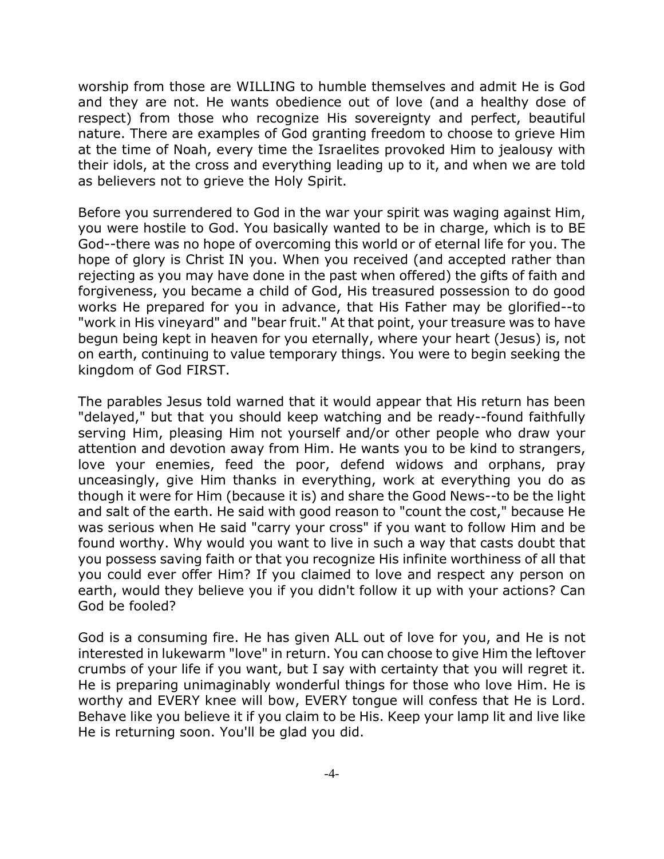worship from those are WILLING to humble themselves and admit He is God and they are not. He wants obedience out of love (and a healthy dose of respect) from those who recognize His sovereignty and perfect, beautiful nature. There are examples of God granting freedom to choose to grieve Him at the time of Noah, every time the Israelites provoked Him to jealousy with their idols, at the cross and everything leading up to it, and when we are told as believers not to grieve the Holy Spirit.

Before you surrendered to God in the war your spirit was waging against Him, you were hostile to God. You basically wanted to be in charge, which is to BE God--there was no hope of overcoming this world or of eternal life for you. The hope of glory is Christ IN you. When you received (and accepted rather than rejecting as you may have done in the past when offered) the gifts of faith and forgiveness, you became a child of God, His treasured possession to do good works He prepared for you in advance, that His Father may be glorified--to "work in His vineyard" and "bear fruit." At that point, your treasure was to have begun being kept in heaven for you eternally, where your heart (Jesus) is, not on earth, continuing to value temporary things. You were to begin seeking the kingdom of God FIRST.

The parables Jesus told warned that it would appear that His return has been "delayed," but that you should keep watching and be ready--found faithfully serving Him, pleasing Him not yourself and/or other people who draw your attention and devotion away from Him. He wants you to be kind to strangers, love your enemies, feed the poor, defend widows and orphans, pray unceasingly, give Him thanks in everything, work at everything you do as though it were for Him (because it is) and share the Good News--to be the light and salt of the earth. He said with good reason to "count the cost," because He was serious when He said "carry your cross" if you want to follow Him and be found worthy. Why would you want to live in such a way that casts doubt that you possess saving faith or that you recognize His infinite worthiness of all that you could ever offer Him? If you claimed to love and respect any person on earth, would they believe you if you didn't follow it up with your actions? Can God be fooled?

God is a consuming fire. He has given ALL out of love for you, and He is not interested in lukewarm "love" in return. You can choose to give Him the leftover crumbs of your life if you want, but I say with certainty that you will regret it. He is preparing unimaginably wonderful things for those who love Him. He is worthy and EVERY knee will bow, EVERY tongue will confess that He is Lord. Behave like you believe it if you claim to be His. Keep your lamp lit and live like He is returning soon. You'll be glad you did.